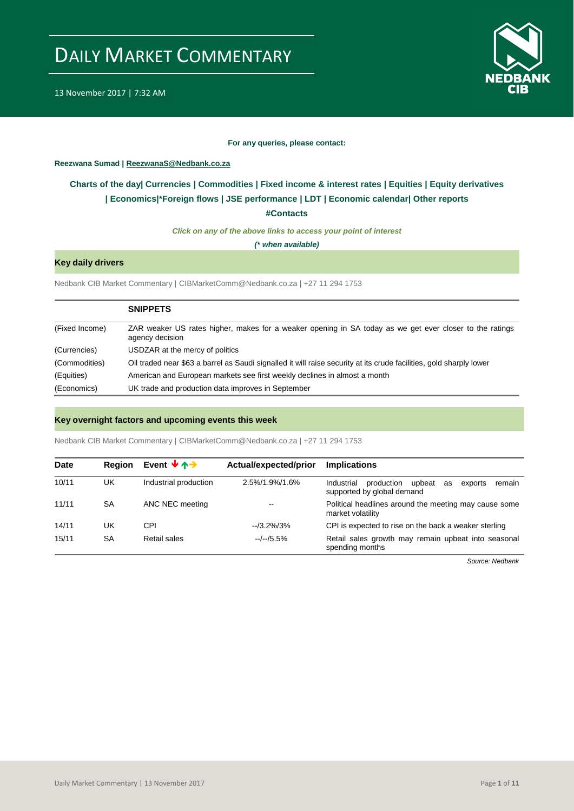

13 November 2017 | 7:32 AM

#### **For any queries, please contact:**

## <span id="page-0-0"></span>**Reezwana Sumad | ReezwanaS@Nedbank.co.za**

## **Charts of the day| [Currencies](#page-2-0) [| Commodities](#page-3-0) | [Fixed income & interest rates](#page-1-0) | [Equities](#page-4-0) | Equity derivatives | [Economics|\\*](#page-7-0)Foreign flows [| JSE performance](#page-4-1) | [LDT](#page-5-0) | [Economic calendar|](#page-8-0) Other reports**

**[#Contacts](#page-9-0)**

*Click on any of the above links to access your point of interest*

*(\* when available)*

## **Key daily drivers**

Nedbank CIB Market Commentary | CIBMarketComm@Nedbank.co.za | +27 11 294 1753

|                | <b>SNIPPETS</b>                                                                                                            |
|----------------|----------------------------------------------------------------------------------------------------------------------------|
| (Fixed Income) | ZAR weaker US rates higher, makes for a weaker opening in SA today as we get ever closer to the ratings<br>agency decision |
| (Currencies)   | USDZAR at the mercy of politics                                                                                            |
| (Commodities)  | Oil traded near \$63 a barrel as Saudi signalled it will raise security at its crude facilities, gold sharply lower        |
| (Equities)     | American and European markets see first weekly declines in almost a month                                                  |
| (Economics)    | UK trade and production data improves in September                                                                         |

## **Key overnight factors and upcoming events this week**

Nedbank CIB Market Commentary | CIBMarketComm@Nedbank.co.za | +27 11 294 1753

| <b>Date</b> | <b>Region</b> | Event $\forall \land \rightarrow$ | Actual/expected/prior | <b>Implications</b>                                                                         |  |  |
|-------------|---------------|-----------------------------------|-----------------------|---------------------------------------------------------------------------------------------|--|--|
| 10/11       | UK            | Industrial production             | 2.5%/1.9%/1.6%        | Industrial<br>production<br>upbeat<br>exports<br>remain<br>as<br>supported by global demand |  |  |
| 11/11       | <b>SA</b>     | ANC NEC meeting                   | $\sim$ $\sim$         | Political headlines around the meeting may cause some<br>market volatility                  |  |  |
| 14/11       | UK            | CPI                               | $-13.2\%/3\%$         | CPI is expected to rise on the back a weaker sterling                                       |  |  |
| 15/11       | <b>SA</b>     | Retail sales                      | $-/-/5.5%$            | Retail sales growth may remain upbeat into seasonal<br>spending months                      |  |  |

*Source: Nedbank*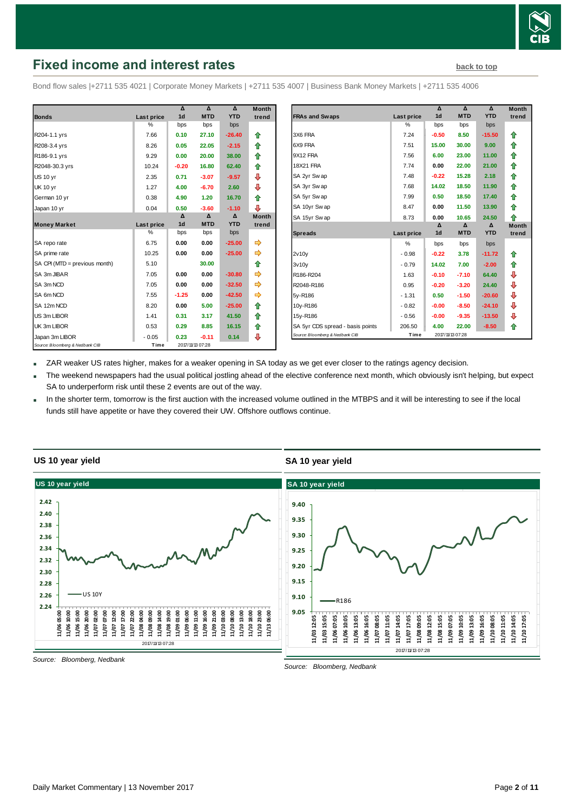

# <span id="page-1-0"></span>**Fixed income and interest rates [back to top](#page-0-0)** back to top

Bond flow sales |+2711 535 4021 | Corporate Money Markets | +2711 535 4007 | Business Bank Money Markets | +2711 535 4006

|                                 |            | Δ              | Δ                | Δ          | <b>Month</b> |
|---------------------------------|------------|----------------|------------------|------------|--------------|
| <b>Bonds</b>                    | Last price | 1 <sub>d</sub> | <b>MTD</b>       | <b>YTD</b> | trend        |
|                                 | %          | bps            | bps              | bps        |              |
| R204-1.1 yrs                    | 7.66       | 0.10           | 27.10            | $-26.40$   | ⇑            |
| R208-3.4 yrs                    | 8.26       | 0.05           | 22.05            | $-2.15$    | ✿            |
| R186-9.1 yrs                    | 9.29       | 0.00           | 20.00            | 38.00      | ⇑            |
| R2048-30.3 yrs                  | 10.24      | $-0.20$        | 16.80            | 62.40      | ⇮            |
| <b>US 10 yr</b>                 | 2.35       | 0.71           | $-3.07$          | $-9.57$    | ⊕            |
| <b>UK 10 yr</b>                 | 1.27       | 4.00           | $-6.70$          | 2.60       | ⊕            |
| German 10 yr                    | 0.38       | 4.90           | 1.20             | 16.70      | ⇑            |
| Japan 10 yr                     | 0.04       | 0.50           | $-3.60$          | $-1.10$    | ⊕            |
|                                 |            | Δ              | Δ                | Δ          | <b>Month</b> |
| <b>Money Market</b>             | Last price | 1 <sub>d</sub> | <b>MTD</b>       | <b>YTD</b> | trend        |
|                                 | %          | bps            | bps              | bps        |              |
| SA repo rate                    | 6.75       | 0.00           | 0.00             | $-25.00$   | ⇛            |
| SA prime rate                   | 10.25      | 0.00           | 0.00             | $-25.00$   | ⇨            |
| SA CPI (MTD = previous month)   | 5.10       |                | 30.00            |            | ✿            |
| SA 3m JIBAR                     | 7.05       | 0.00           | 0.00             | $-30.80$   |              |
| SA 3m NCD                       | 7.05       | 0.00           | 0.00             | $-32.50$   |              |
| SA 6m NCD                       | 7.55       | $-1.25$        | 0.00             | $-42.50$   |              |
| SA 12m NCD                      | 8.20       | 0.00           | 5.00             | $-25.00$   | ⇑            |
| US 3m LIBOR                     | 1.41       | 0.31           | 3.17             | 41.50      | ⇑            |
| UK 3m LIBOR                     | 0.53       | 0.29           | 8.85             | 16.15      | ⇑            |
| Japan 3m LIBOR                  | $-0.05$    | 0.23           | $-0.11$          | 0.14       | ⊕            |
| Source: Bloomberg & Nedbank CIB | Time       |                | 2017/11/13 07:28 |            |              |

|                                  |            | Δ              | Δ                | Δ          | <b>Month</b> |
|----------------------------------|------------|----------------|------------------|------------|--------------|
| <b>FRAs and Swaps</b>            | Last price | 1 <sub>d</sub> | <b>MTD</b>       | <b>YTD</b> | trend        |
|                                  | $\%$       | bps            | bps              | bps        |              |
| 3X6 FRA                          | 7.24       | $-0.50$        | 8.50             | $-15.50$   | ⇑            |
| 6X9 FRA                          | 7.51       | 15.00          | 30.00            | 9.00       | ⇑            |
| 9X12 FRA                         | 7.56       | 6.00           | 23.00            | 11.00      | ♠            |
| <b>18X21 FRA</b>                 | 7.74       | 0.00           | 22.00            | 21.00      | ⇑            |
| SA 2yr Swap                      | 7.48       | $-0.22$        | 15.28            | 2.18       | ⇑            |
| SA 3yr Swap                      | 7.68       | 14.02          | 18.50            | 11.90      | ⇑            |
| SA 5yr Swap                      | 7.99       | 0.50           | 18.50            | 17.40      | ⇑            |
| SA 10yr Swap                     | 8.47       | 0.00           | 11.50            | 13.90      | ♠            |
| SA 15yr Swap                     | 8.73       | 0.00           | 10.65            | 24.50      | ♠            |
|                                  |            | $\Lambda$      | $\Lambda$        | Δ          | <b>Month</b> |
| <b>Spreads</b>                   | Last price | 1 <sub>d</sub> | <b>MTD</b>       | <b>YTD</b> | trend        |
|                                  | $\%$       | bps            | bps              | bps        |              |
| 2v10v                            | $-0.98$    | $-0.22$        | 3.78             | $-11.72$   | ⇑            |
| 3v10v                            | $-0.79$    | 14.02          | 7.00             | $-2.00$    | ⇑            |
| R186-R204                        | 1.63       | $-0.10$        | $-7.10$          | 64.40      | ⊕            |
| R2048-R186                       | 0.95       | $-0.20$        | $-3.20$          | 24.40      | ⊕            |
| 5v-R186                          | $-1.31$    | 0.50           | $-1.50$          | $-20.60$   | ⇩            |
| 10y-R186                         | $-0.82$    | $-0.00$        | $-8.50$          | $-24.10$   | ⊕            |
| 15y-R186                         | $-0.56$    | $-0.00$        | $-9.35$          | $-13.50$   | ⊕            |
| SA 5yr CDS spread - basis points | 206.50     | 4.00           | 22.00            | $-8.50$    | ⇑            |
| Source: Bloomberg & Nedbank CIB  | Time       |                | 2017/11/13 07:28 |            |              |

ZAR weaker US rates higher, makes for a weaker opening in SA today as we get ever closer to the ratings agency decision.

 The weekend newspapers had the usual political jostling ahead of the elective conference next month, which obviously isn't helping, but expect SA to underperform risk until these 2 events are out of the way.

**SA 10 year yield**

 In the shorter term, tomorrow is the first auction with the increased volume outlined in the MTBPS and it will be interesting to see if the local funds still have appetite or have they covered their UW. Offshore outflows continue.



### **US 10 year yield**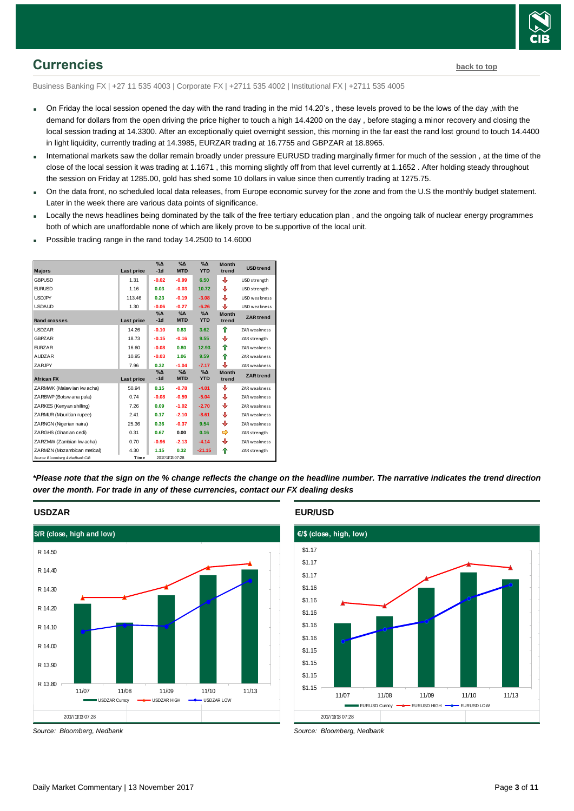

## <span id="page-2-0"></span>**Currencies [back to top](#page-0-0)**

Business Banking FX | +27 11 535 4003 | Corporate FX | +2711 535 4002 | Institutional FX | +2711 535 4005

- On Friday the local session opened the day with the rand trading in the mid 14.20's , these levels proved to be the lows of the day ,with the demand for dollars from the open driving the price higher to touch a high 14.4200 on the day , before staging a minor recovery and closing the local session trading at 14.3300. After an exceptionally quiet overnight session, this morning in the far east the rand lost ground to touch 14.4400 in light liquidity, currently trading at 14.3985, EURZAR trading at 16.7755 and GBPZAR at 18.8965.
- International markets saw the dollar remain broadly under pressure EURUSD trading marginally firmer for much of the session , at the time of the close of the local session it was trading at 1.1671 , this morning slightly off from that level currently at 1.1652 . After holding steady throughout the session on Friday at 1285.00, gold has shed some 10 dollars in value since then currently trading at 1275.75.
- On the data front, no scheduled local data releases, from Europe economic survey for the zone and from the U.S the monthly budget statement. Later in the week there are various data points of significance.
- Locally the news headlines being dominated by the talk of the free tertiary education plan , and the ongoing talk of nuclear energy programmes both of which are unaffordable none of which are likely prove to be supportive of the local unit.
- Possible trading range in the rand today 14.2500 to 14.6000



*\*Please note that the sign on the % change reflects the change on the headline number. The narrative indicates the trend direction over the month. For trade in any of these currencies, contact our FX dealing desks*

## **USDZAR**



*Source: Bloomberg, Nedbank*

**EUR/USD**



*Source: Bloomberg, Nedbank*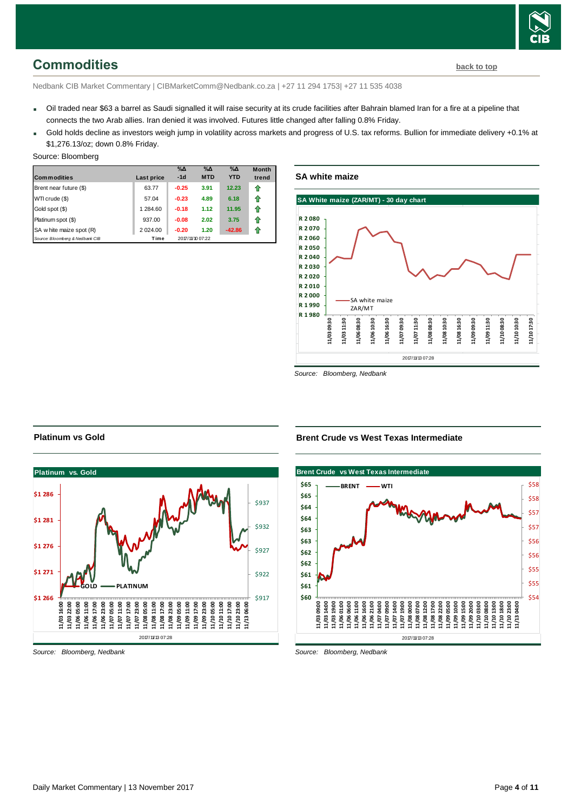

# <span id="page-3-0"></span>**Commodities [back to top](#page-0-0)**

Nedbank CIB Market Commentary | CIBMarketComm@Nedbank.co.za | +27 11 294 1753| +27 11 535 4038

- Oil traded near \$63 a barrel as Saudi signalled it will raise security at its crude facilities after Bahrain blamed Iran for a fire at a pipeline that connects the two Arab allies. Iran denied it was involved. Futures little changed after falling 0.8% Friday.
- Gold holds decline as investors weigh jump in volatility across markets and progress of U.S. tax reforms. Bullion for immediate delivery +0.1% at \$1,276.13/oz; down 0.8% Friday.

#### Source: Bloomberg

| <b>Commodities</b>              | Last price | $\%$ $\Delta$<br>$-1d$ | $\%$ $\Delta$<br><b>MTD</b> | $\%$ $\Delta$<br><b>YTD</b> | <b>Month</b><br>trend |
|---------------------------------|------------|------------------------|-----------------------------|-----------------------------|-----------------------|
| Brent near future (\$)          | 63.77      | $-0.25$                | 3.91                        | 12.23                       | ⇑                     |
| WTI crude (\$)                  | 57.04      | $-0.23$                | 4.89                        | 6.18                        | ♠                     |
| Gold spot (\$)                  | 1 284.60   | $-0.18$                | 1.12                        | 11.95                       | ⋒                     |
| Platinum spot (\$)              | 937.00     | $-0.08$                | 2.02                        | 3.75                        |                       |
| SA w hite maize spot (R)        | 2 0 24 0 0 | $-0.20$                | 1.20                        | $-42.86$                    | ⇑                     |
| Source: Bloomberg & Nedbank CIB | Time       |                        | 2017/11/10 07:22            |                             |                       |

#### **SA white maize**



*Source: Bloomberg, Nedbank*

#### **Platinum vs Gold**



*Source: Bloomberg, Nedbank*

#### **Brent Crude vs West Texas Intermediate**



*Source: Bloomberg, Nedbank*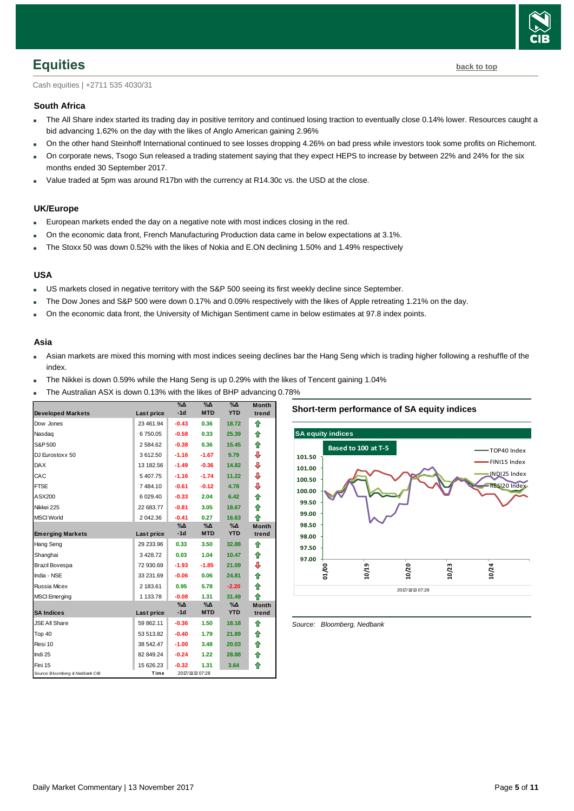

<span id="page-4-0"></span>Cash equities | +2711 535 4030/31

#### **South Africa**

- The All Share index started its trading day in positive territory and continued losing traction to eventually close 0.14% lower. Resources caught a bid advancing 1.62% on the day with the likes of Anglo American gaining 2.96%
- On the other hand Steinhoff International continued to see losses dropping 4.26% on bad press while investors took some profits on Richemont.
- On corporate news, Tsogo Sun released a trading statement saying that they expect HEPS to increase by between 22% and 24% for the six months ended 30 September 2017.
- Value traded at 5pm was around R17bn with the currency at R14.30c vs. the USD at the close.

### **UK/Europe**

- **European markets ended the day on a negative note with most indices closing in the red.**
- On the economic data front, French Manufacturing Production data came in below expectations at 3.1%.
- The Stoxx 50 was down 0.52% with the likes of Nokia and E.ON declining 1.50% and 1.49% respectively

#### **USA**

- US markets closed in negative territory with the S&P 500 seeing its first weekly decline since September.
- The Dow Jones and S&P 500 were down 0.17% and 0.09% respectively with the likes of Apple retreating 1.21% on the day.
- On the economic data front, the University of Michigan Sentiment came in below estimates at 97.8 index points.

#### **Asia**

- Asian markets are mixed this morning with most indices seeing declines bar the Hang Seng which is trading higher following a reshuffle of the index.
- The Nikkei is down 0.59% while the Hang Seng is up 0.29% with the likes of Tencent gaining 1.04%
- The Australian ASX is down 0.13% with the likes of BHP advancing 0.78%

| <b>Developed Markets</b>        | Last price | $\%$ $\Delta$<br>$-1d$ | $\sqrt{20}$<br><b>MTD</b> | $\%$ $\Delta$<br><b>YTD</b> | <b>Month</b><br>trend |
|---------------------------------|------------|------------------------|---------------------------|-----------------------------|-----------------------|
| Dow Jones                       | 23 461.94  | $-0.43$                | 0.36                      | 18.72                       | ⇑                     |
| Nasdag                          | 6750.05    | $-0.58$                | 0.33                      | 25.39                       | ⇑                     |
| S&P 500                         | 2 584.62   | $-0.38$                | 0.36                      | 15.45                       | ⇑                     |
| DJ Eurostoxx 50                 | 3 612.50   | $-1.16$                | $-1.67$                   | 9.79                        | ⊕                     |
| <b>DAX</b>                      | 13 182.56  | $-1.49$                | $-0.36$                   | 14.82                       | ⊕                     |
| CAC                             | 5 407.75   | $-1.16$                | $-1.74$                   | 11.22                       | ⊕                     |
| <b>FTSE</b>                     | 7484.10    | $-0.61$                | $-0.12$                   | 4.78                        | ⊕                     |
| ASX200                          | 6 0 29.40  | $-0.33$                | 2.04                      | 6.42                        | 合                     |
| Nikkei 225                      | 22 683.77  | $-0.81$                | 3.05                      | 18.67                       | ⇮                     |
| <b>MSCI World</b>               | 2 042.36   | $-0.41$                | 0.27                      | 16.63                       | ♠                     |
|                                 |            | %Δ                     | %Δ                        | %Δ                          | <b>Month</b>          |
| <b>Emerging Markets</b>         | Last price | $-1d$                  | <b>MTD</b>                | <b>YTD</b>                  | trend                 |
| Hang Seng                       | 29 233.96  | 0.33                   | 3.50                      | 32.88                       | ⇑                     |
| Shanghai                        | 3 4 28.72  | 0.03                   | 1.04                      | 10.47                       | ⇮                     |
| Brazil Bovespa                  | 72 930.69  | $-1.93$                | $-1.85$                   | 21.09                       | ⊕                     |
| India - NSE                     | 33 231.69  | $-0.06$                | 0.06                      | 24.81                       | ⇑                     |
| Russia Micex                    | 2 183.61   | 0.95                   | 5.78                      | $-2.20$                     | ⇑                     |
| <b>MSCI Emerging</b>            | 1 133.78   | $-0.08$                | 1.31                      | 31.49                       | ♠                     |
|                                 |            | %Δ                     | %∆                        | %Δ                          | <b>Month</b>          |
| <b>SA Indices</b>               | Last price | $-1d$                  | <b>MTD</b>                | <b>YTD</b>                  | trend                 |
| JSE All Share                   | 59 862.11  | $-0.36$                | 1.50                      | 18.18                       | ⇑                     |
| Top 40                          | 53 513.82  | $-0.40$                | 1.79                      | 21.89                       | ⇮                     |
| Resi 10                         | 38 542.47  | $-1.00$                | 3.48                      | 20.03                       | 合                     |
| Indi 25                         | 82 849.24  | $-0.24$                | 1.22                      | 28.88                       | 合                     |
| Fini 15                         | 15 626.23  | $-0.32$                | 1.31                      | 3.64                        | ♠                     |
| Source: Bloomberg & Nedbank CIB | Time       |                        | 2017/11/13 07:28          |                             |                       |

**Short-term performance of SA equity indices**



<span id="page-4-1"></span>*Source: Bloomberg, Nedbank*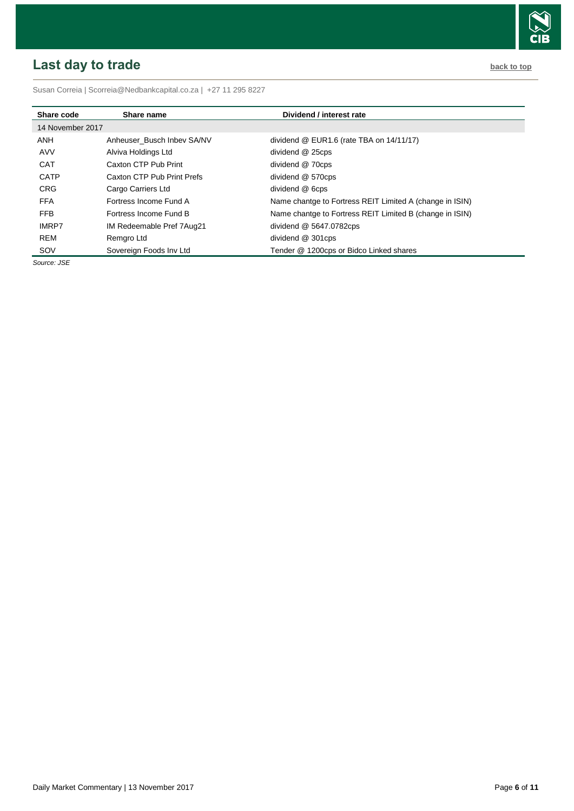# <span id="page-5-0"></span>**Last day to trade back to the contract of the contract of the contract of the contract of the contract of the contract of the contract of the contract of the contract of the contract of the contract of the contract of t**

Susan Correia [| Scorreia@Nedbankcapital.co.za](mailto:Scorreia@Nedbankcapital.co.za) | +27 11 295 8227

| Share code       | Share name                 | Dividend / interest rate                                 |
|------------------|----------------------------|----------------------------------------------------------|
| 14 November 2017 |                            |                                                          |
| ANH              | Anheuser Busch Inbey SA/NV | dividend $@$ EUR1.6 (rate TBA on $14/11/17$ )            |
| <b>AVV</b>       | Alviva Holdings Ltd        | dividend @ 25cps                                         |
| <b>CAT</b>       | Caxton CTP Pub Print       | dividend @ 70cps                                         |
| <b>CATP</b>      | Caxton CTP Pub Print Prefs | dividend @ 570cps                                        |
| <b>CRG</b>       | Cargo Carriers Ltd         | dividend @ 6cps                                          |
| <b>FFA</b>       | Fortress Income Fund A     | Name chantge to Fortress REIT Limited A (change in ISIN) |
| FFB              | Fortress Income Fund B     | Name chantge to Fortress REIT Limited B (change in ISIN) |
| <b>IMRP7</b>     | IM Redeemable Pref 7Aug21  | dividend @ 5647.0782cps                                  |
| <b>REM</b>       | Remgro Ltd                 | dividend @ 301cps                                        |
| SOV              | Sovereign Foods Inv Ltd    | Tender @ 1200cps or Bidco Linked shares                  |

*Source: JSE*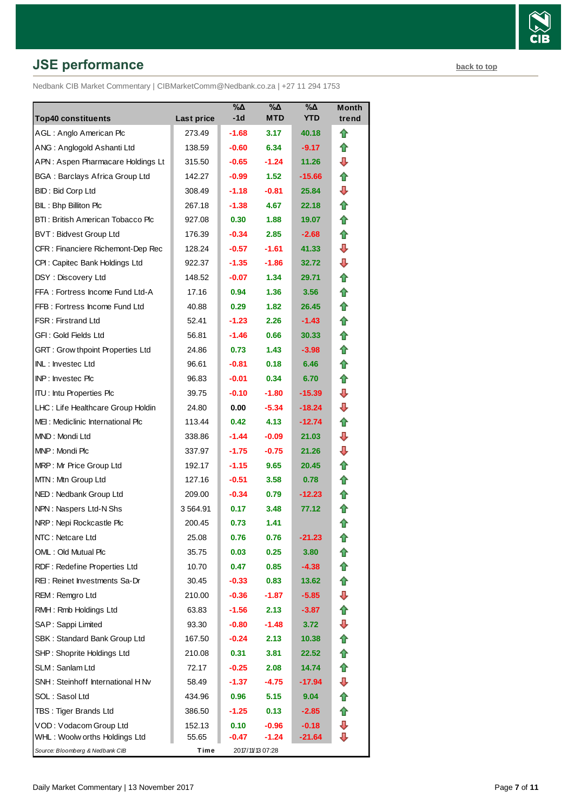# **JSE performance [back to top](#page-0-0) back to top**

Nedbank CIB Market Commentary | CIBMarketComm@Nedbank.co.za | +27 11 294 1753

| <b>Top40 constituents</b>               | Last price | %Δ<br>-1d | $\%$ $\Delta$<br><b>MTD</b> | %Δ<br><b>YTD</b> | Month<br>trend |
|-----------------------------------------|------------|-----------|-----------------------------|------------------|----------------|
| AGL: Anglo American Plc                 | 273.49     | $-1.68$   | 3.17                        | 40.18            | ⇑              |
| ANG: Anglogold Ashanti Ltd              | 138.59     | $-0.60$   | 6.34                        | $-9.17$          | ⇑              |
| APN: Aspen Pharmacare Holdings Lt       | 315.50     | $-0.65$   | $-1.24$                     | 11.26            | ⊕              |
| <b>BGA: Barclays Africa Group Ltd</b>   | 142.27     | $-0.99$   | 1.52                        | -15.66           | ⇑              |
| BID: Bid Corp Ltd                       | 308.49     | $-1.18$   | $-0.81$                     | 25.84            | ⊕              |
| BIL: Bhp Billiton Plc                   | 267.18     | $-1.38$   | 4.67                        | 22.18            | ⇑              |
| BTI: British American Tobacco Plc       | 927.08     | 0.30      | 1.88                        | 19.07            | ⇑              |
| <b>BVT: Bidvest Group Ltd</b>           | 176.39     | $-0.34$   | 2.85                        | $-2.68$          | ⇑              |
| CFR : Financiere Richemont-Dep Rec      | 128.24     | $-0.57$   | $-1.61$                     | 41.33            | ⊕              |
| CPI : Capitec Bank Holdings Ltd         | 922.37     | $-1.35$   | $-1.86$                     | 32.72            | ⊕              |
| DSY: Discovery Ltd                      | 148.52     | $-0.07$   | 1.34                        | 29.71            | ⇑              |
| FFA: Fortress Income Fund Ltd-A         | 17.16      | 0.94      | 1.36                        | 3.56             | ⇑              |
| FFB: Fortress Income Fund Ltd           | 40.88      | 0.29      | 1.82                        | 26.45            | ⇑              |
| <b>FSR: Firstrand Ltd</b>               | 52.41      | $-1.23$   | 2.26                        | $-1.43$          | ⇑              |
| GFI: Gold Fields Ltd                    | 56.81      | $-1.46$   | 0.66                        | 30.33            | ⇑              |
| <b>GRT: Grow thpoint Properties Ltd</b> | 24.86      | 0.73      | 1.43                        | $-3.98$          | ⇑              |
| INL: Investec Ltd                       | 96.61      | $-0.81$   | 0.18                        | 6.46             | ⇑              |
| INP: Investec Plc                       | 96.83      | $-0.01$   | 0.34                        | 6.70             | ⇑              |
| <b>ITU:</b> Intu Properties Plc         | 39.75      | $-0.10$   | $-1.80$                     | -15.39           | ⊕              |
| LHC: Life Healthcare Group Holdin       | 24.80      | 0.00      | $-5.34$                     | -18.24           | ┺              |
| MEI: Mediclinic International Plc       | 113.44     | 0.42      | 4.13                        | $-12.74$         | ⇑              |
| MND: Mondi Ltd                          | 338.86     | $-1.44$   | $-0.09$                     | 21.03            | ⊕              |
| MNP: Mondi Plc                          | 337.97     | $-1.75$   | $-0.75$                     | 21.26            | ⊕              |
| MRP: Mr Price Group Ltd                 | 192.17     | $-1.15$   | 9.65                        | 20.45            | ⇑              |
| MTN: Mtn Group Ltd                      | 127.16     | $-0.51$   | 3.58                        | 0.78             | ⇑              |
| NED: Nedbank Group Ltd                  | 209.00     | $-0.34$   | 0.79                        | $-12.23$         | ⇑              |
| NPN: Naspers Ltd-N Shs                  | 3 564.91   | 0.17      | 3.48                        | 77.12            | T              |
| NRP: Nepi Rockcastle Plc                | 200.45     | 0.73      | 1.41                        |                  | ✿              |
| NTC: Netcare Ltd                        | 25.08      | 0.76      | 0.76                        | -21.23           | 10             |
| OML: Old Mutual Plc                     | 35.75      | 0.03      | 0.25                        | 3.80             | n              |
| RDF: Redefine Properties Ltd            | 10.70      | 0.47      | 0.85                        | $-4.38$          | ⇑              |
| REI: Reinet Investments Sa-Dr           | 30.45      | $-0.33$   | 0.83                        | 13.62            | ⇑              |
| REM: Remgro Ltd                         | 210.00     | $-0.36$   | $-1.87$                     | $-5.85$          | ⊕              |
| RMH: Rmb Holdings Ltd                   | 63.83      | $-1.56$   | 2.13                        | $-3.87$          | ⇑              |
| SAP: Sappi Limited                      | 93.30      | $-0.80$   | $-1.48$                     | 3.72             | ⇩              |
| SBK: Standard Bank Group Ltd            | 167.50     | $-0.24$   | 2.13                        | 10.38            | ⇑              |
| SHP: Shoprite Holdings Ltd              | 210.08     | 0.31      | 3.81                        | 22.52            | T              |
| SLM: Sanlam Ltd                         | 72.17      | $-0.25$   | 2.08                        | 14.74            | ⇑              |
| SNH: Steinhoff International H Nv       | 58.49      | $-1.37$   | -4.75                       | -17.94           | ⇩              |
| SOL: Sasol Ltd                          | 434.96     | 0.96      | 5.15                        | 9.04             | ⇑              |
| TBS: Tiger Brands Ltd                   | 386.50     | $-1.25$   | 0.13                        | -2.85            | ⇑              |
| VOD: Vodacom Group Ltd                  | 152.13     | 0.10      | $-0.96$                     | $-0.18$          | ⇩              |
| WHL: Woolw orths Holdings Ltd           | 55.65      | $-0.47$   | $-1.24$                     | -21.64           | ⊕              |
| Source: Bloomberg & Nedbank CIB         | Time       |           | 2017/11/13 07:28            |                  |                |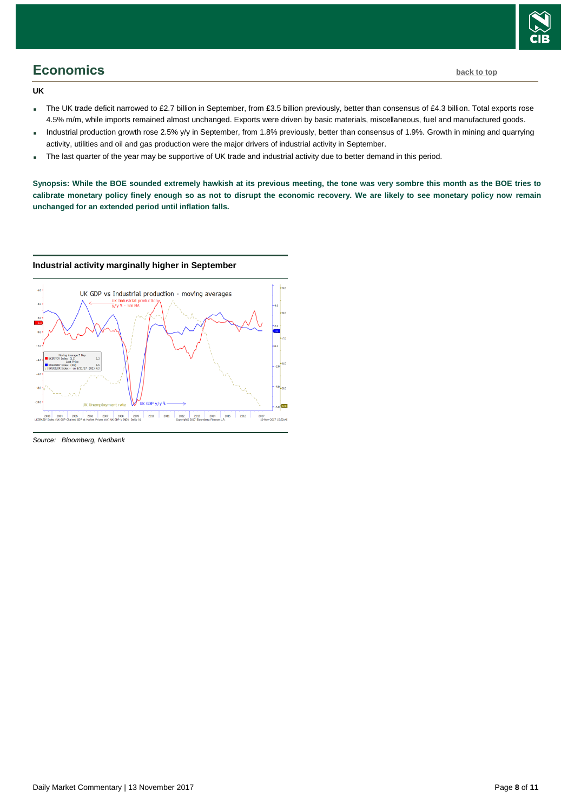

# <span id="page-7-0"></span>**Economics [back to top](#page-0-0)**

#### **UK**

- The UK trade deficit narrowed to £2.7 billion in September, from £3.5 billion previously, better than consensus of £4.3 billion. Total exports rose 4.5% m/m, while imports remained almost unchanged. Exports were driven by basic materials, miscellaneous, fuel and manufactured goods.
- Industrial production growth rose 2.5% y/y in September, from 1.8% previously, better than consensus of 1.9%. Growth in mining and quarrying activity, utilities and oil and gas production were the major drivers of industrial activity in September.
- The last quarter of the year may be supportive of UK trade and industrial activity due to better demand in this period.

**Synopsis: While the BOE sounded extremely hawkish at its previous meeting, the tone was very sombre this month as the BOE tries to calibrate monetary policy finely enough so as not to disrupt the economic recovery. We are likely to see monetary policy now remain unchanged for an extended period until inflation falls.** 

#### **Industrial activity marginally higher in September**



*Source: Bloomberg, Nedbank*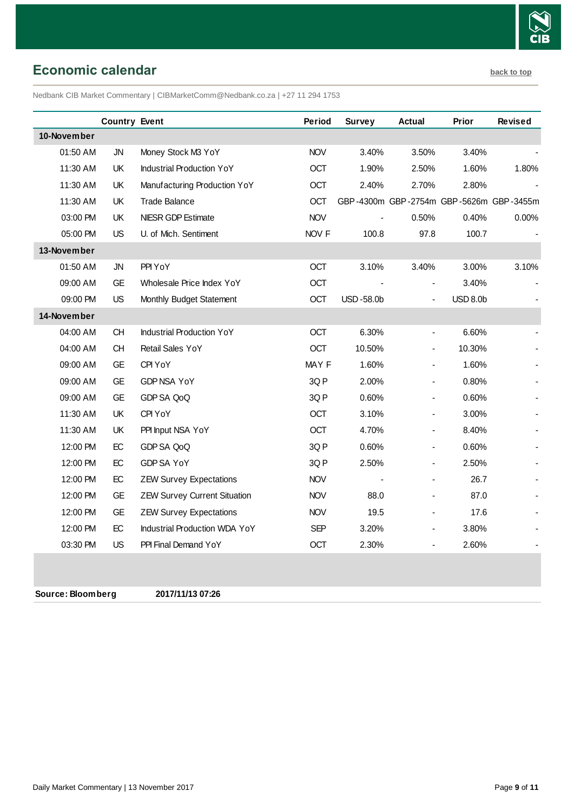

# <span id="page-8-0"></span>**Economic calendar [back to top](#page-0-0)**

Nedbank CIB Market Commentary | CIBMarketComm@Nedbank.co.za | +27 11 294 1753

|             | <b>Country Event</b> |                                      | <b>Period</b>    | <b>Survey</b>    | Actual         | Prior                                   | <b>Revised</b> |
|-------------|----------------------|--------------------------------------|------------------|------------------|----------------|-----------------------------------------|----------------|
| 10-November |                      |                                      |                  |                  |                |                                         |                |
| 01:50 AM    | ${\sf JN}$           | Money Stock M3 YoY                   | <b>NOV</b>       | 3.40%            | 3.50%          | 3.40%                                   |                |
| 11:30 AM    | UK                   | <b>Industrial Production YoY</b>     | <b>OCT</b>       | 1.90%            | 2.50%          | 1.60%                                   | 1.80%          |
| 11:30 AM    | UK                   | Manufacturing Production YoY         | OCT              | 2.40%            | 2.70%          | 2.80%                                   |                |
| 11:30 AM    | UK                   | <b>Trade Balance</b>                 | <b>OCT</b>       |                  |                | GBP-4300m GBP-2754m GBP-5626m GBP-3455m |                |
| 03:00 PM    | UK                   | <b>NIESR GDP Estimate</b>            | <b>NOV</b>       |                  | 0.50%          | 0.40%                                   | 0.00%          |
| 05:00 PM    | <b>US</b>            | U. of Mich. Sentiment                | NOV <sub>F</sub> | 100.8            | 97.8           | 100.7                                   |                |
| 13-November |                      |                                      |                  |                  |                |                                         |                |
| 01:50 AM    | <b>JN</b>            | PPI YoY                              | OCT              | 3.10%            | 3.40%          | 3.00%                                   | 3.10%          |
| 09:00 AM    | <b>GE</b>            | Wholesale Price Index YoY            | OCT              |                  | $\blacksquare$ | 3.40%                                   |                |
| 09:00 PM    | <b>US</b>            | Monthly Budget Statement             | <b>OCT</b>       | <b>USD-58.0b</b> |                | <b>USD 8.0b</b>                         |                |
| 14-November |                      |                                      |                  |                  |                |                                         |                |
| 04:00 AM    | <b>CH</b>            | <b>Industrial Production YoY</b>     | OCT              | 6.30%            |                | 6.60%                                   |                |
| 04:00 AM    | CH.                  | Retail Sales YoY                     | OCT              | 10.50%           |                | 10.30%                                  |                |
| 09:00 AM    | <b>GE</b>            | CPI YoY                              | MAY F            | 1.60%            | $\blacksquare$ | 1.60%                                   |                |
| 09:00 AM    | <b>GE</b>            | <b>GDP NSA YoY</b>                   | 3QP              | 2.00%            |                | 0.80%                                   |                |
| 09:00 AM    | <b>GE</b>            | GDP SA QoQ                           | 3QP              | 0.60%            |                | 0.60%                                   |                |
| 11:30 AM    | UK                   | CPI YoY                              | <b>OCT</b>       | 3.10%            | $\blacksquare$ | 3.00%                                   |                |
| 11:30 AM    | UK                   | PPI Input NSA YoY                    | <b>OCT</b>       | 4.70%            |                | 8.40%                                   |                |
| 12:00 PM    | EC                   | GDP SA QoQ                           | 3QP              | 0.60%            |                | 0.60%                                   |                |
| 12:00 PM    | EC                   | GDP SA YoY                           | 3QP              | 2.50%            | $\blacksquare$ | 2.50%                                   |                |
| 12:00 PM    | EC                   | <b>ZEW Survey Expectations</b>       | <b>NOV</b>       |                  |                | 26.7                                    |                |
| 12:00 PM    | <b>GE</b>            | <b>ZEW Survey Current Situation</b>  | <b>NOV</b>       | 88.0             |                | 87.0                                    |                |
| 12:00 PM    | <b>GE</b>            | <b>ZEW Survey Expectations</b>       | <b>NOV</b>       | 19.5             |                | 17.6                                    |                |
| 12:00 PM    | EC                   | <b>Industrial Production WDA YoY</b> | <b>SEP</b>       | 3.20%            | $\blacksquare$ | 3.80%                                   |                |
| 03:30 PM    | <b>US</b>            | PPI Final Demand YoY                 | <b>OCT</b>       | 2.30%            |                | 2.60%                                   |                |

**Source: Bloomberg 2017/11/13 07:26**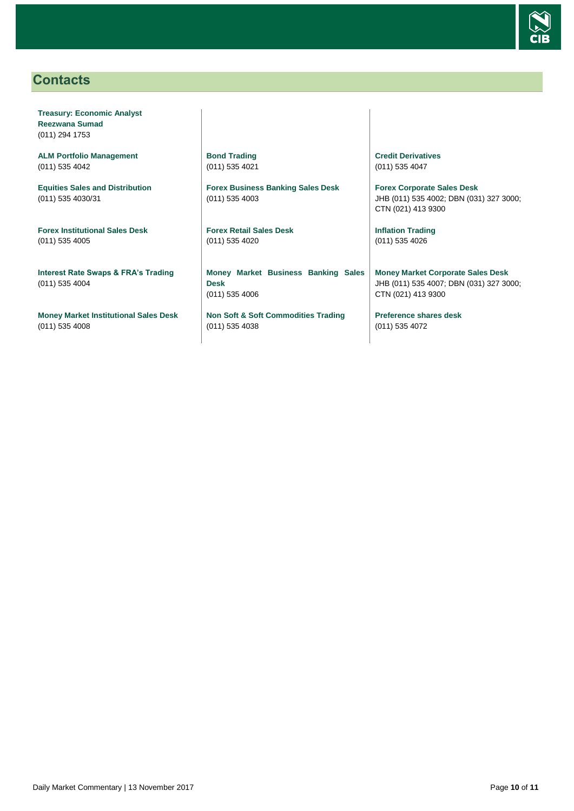

# <span id="page-9-0"></span>**Contacts**

**Treasury: Economic Analyst Reezwana Sumad** (011) 294 1753

**ALM Portfolio Management** (011) 535 4042

**Equities Sales and Distribution** (011) 535 4030/31

**Forex Institutional Sales Desk** (011) 535 4005

**Interest Rate Swaps & FRA's Trading** (011) 535 4004

**Money Market Institutional Sales Desk** (011) 535 4008

**Bond Trading** (011) 535 4021

**Forex Business Banking Sales Desk** (011) 535 4003

**Forex Retail Sales Desk** (011) 535 4020

**Money Market Business Banking Sales Desk** (011) 535 4006

**Non Soft & Soft Commodities Trading** (011) 535 4038

**Credit Derivatives**  (011) 535 4047

**Forex Corporate Sales Desk** JHB (011) 535 4002; DBN (031) 327 3000; CTN (021) 413 9300

**Inflation Trading** (011) 535 4026

**Money Market Corporate Sales Desk** JHB (011) 535 4007; DBN (031) 327 3000; CTN (021) 413 9300

**Preference shares desk** (011) 535 4072